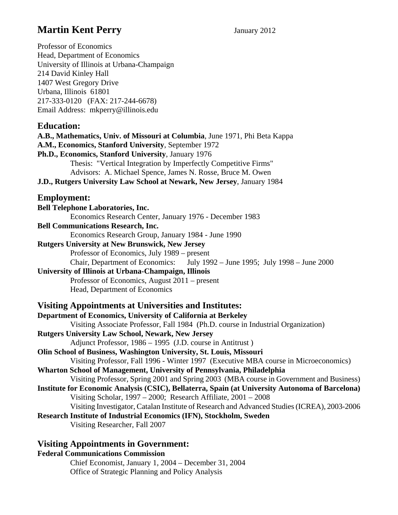# **Martin Kent Perry** *January 2012*

Professor of Economics Head, Department of Economics University of Illinois at Urbana-Champaign 214 David Kinley Hall 1407 West Gregory Drive Urbana, Illinois 61801 217-333-0120 (FAX: 217-244-6678) Email Address: mkperry@illinois.edu **Education: A.B., Mathematics, Univ. of Missouri at Columbia**, June 1971, Phi Beta Kappa **A.M., Economics, Stanford University**, September 1972 **Ph.D., Economics, Stanford University**, January 1976 Thesis: "Vertical Integration by Imperfectly Competitive Firms" Advisors: A. Michael Spence, James N. Rosse, Bruce M. Owen **J.D., Rutgers University Law School at Newark, New Jersey**, January 1984 **Employment: Bell Telephone Laboratories, Inc.** Economics Research Center, January 1976 - December 1983 **Bell Communications Research, Inc.** Economics Research Group, January 1984 - June 1990 **Rutgers University at New Brunswick, New Jersey** Professor of Economics, July 1989 – present Chair, Department of Economics: July 1992 – June 1995; July 1998 – June 2000 **University of Illinois at Urbana-Champaign, Illinois** Professor of Economics, August 2011 – present Head, Department of Economics **Visiting Appointments at Universities and Institutes: Department of Economics, University of California at Berkeley**  Visiting Associate Professor, Fall 1984 (Ph.D. course in Industrial Organization) **Rutgers University Law School, Newark, New Jersey** Adjunct Professor, 1986 – 1995 (J.D. course in Antitrust ) **Olin School of Business, Washington University, St. Louis, Missouri** Visiting Professor, Fall 1996 - Winter 1997 (Executive MBA course in Microeconomics) **Wharton School of Management, University of Pennsylvania, Philadelphia** Visiting Professor, Spring 2001 and Spring 2003 (MBA course in Government and Business) **Institute for Economic Analysis (CSIC), Bellaterra, Spain (at University Autonoma of Barcelona)** Visiting Scholar, 1997 – 2000; Research Affiliate, 2001 – 2008 Visiting Investigator, Catalan Institute of Research and Advanced Studies (ICREA), 2003-2006 **Research Institute of Industrial Economics (IFN), Stockholm, Sweden** Visiting Researcher, Fall 2007

## **Visiting Appointments in Government:**

#### **Federal Communications Commission**

Chief Economist, January 1, 2004 – December 31, 2004 Office of Strategic Planning and Policy Analysis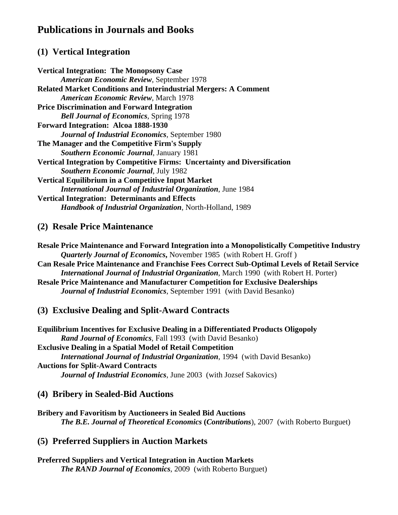# **Publications in Journals and Books**

## **(1) Vertical Integration**

**Vertical Integration: The Monopsony Case** *American Economic Review*, September 1978 **Related Market Conditions and Interindustrial Mergers: A Comment** *American Economic Review*, March 1978 **Price Discrimination and Forward Integration** *Bell Journal of Economics*, Spring 1978 **Forward Integration: Alcoa 1888-1930** *Journal of Industrial Economics*, September 1980 **The Manager and the Competitive Firm's Supply** *Southern Economic Journal*, January 1981 **Vertical Integration by Competitive Firms: Uncertainty and Diversification**  *Southern Economic Journal*, July 1982 **Vertical Equilibrium in a Competitive Input Market** *International Journal of Industrial Organization*, June 1984 **Vertical Integration: Determinants and Effects** *Handbook of Industrial Organization*, North-Holland, 1989

### **(2) Resale Price Maintenance**

**Resale Price Maintenance and Forward Integration into a Monopolistically Competitive Industry** *Quarterly Journal of Economics***,** November 1985 (with Robert H. Groff ) **Can Resale Price Maintenance and Franchise Fees Correct Sub-Optimal Levels of Retail Service** *International Journal of Industrial Organization*, March 1990 (with Robert H. Porter) **Resale Price Maintenance and Manufacturer Competition for Exclusive Dealerships** *Journal of Industrial Economics*, September 1991 (with David Besanko)

## **(3) Exclusive Dealing and Split-Award Contracts**

**Equilibrium Incentives for Exclusive Dealing in a Differentiated Products Oligopoly** *Rand Journal of Economics*, Fall 1993 (with David Besanko) **Exclusive Dealing in a Spatial Model of Retail Competition** *International Journal of Industrial Organization*, 1994 (with David Besanko) **Auctions for Split-Award Contracts** *Journal of Industrial Economics*, June 2003 (with Jozsef Sakovics)

### **(4) Bribery in Sealed-Bid Auctions**

**Bribery and Favoritism by Auctioneers in Sealed Bid Auctions**  *The B.E. Journal of Theoretical Economics (Contributions), 2007 (with Roberto Burguet)* 

## **(5) Preferred Suppliers in Auction Markets**

**Preferred Suppliers and Vertical Integration in Auction Markets**  *The RAND Journal of Economics*, 2009 (with Roberto Burguet)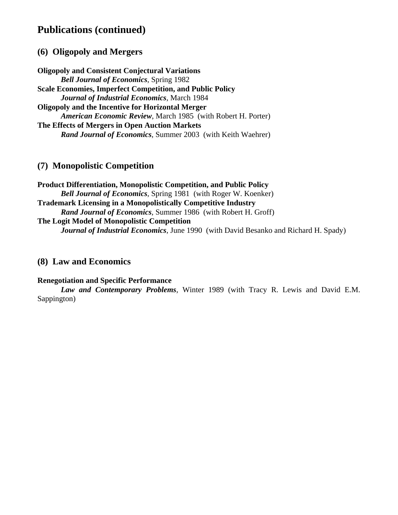# **Publications (continued)**

### **(6) Oligopoly and Mergers**

**Oligopoly and Consistent Conjectural Variations** *Bell Journal of Economics*, Spring 1982 **Scale Economies, Imperfect Competition, and Public Policy** *Journal of Industrial Economics*, March 1984 **Oligopoly and the Incentive for Horizontal Merger**  *American Economic Review*, March 1985 (with Robert H. Porter) **The Effects of Mergers in Open Auction Markets** *Rand Journal of Economics*, Summer 2003 (with Keith Waehrer)

### **(7) Monopolistic Competition**

**Product Differentiation, Monopolistic Competition, and Public Policy** *Bell Journal of Economics*, Spring 1981 (with Roger W. Koenker) **Trademark Licensing in a Monopolistically Competitive Industry** *Rand Journal of Economics*, Summer 1986 (with Robert H. Groff) **The Logit Model of Monopolistic Competition** *Journal of Industrial Economics*, June 1990 (with David Besanko and Richard H. Spady)

#### **(8) Law and Economics**

#### **Renegotiation and Specific Performance**

*Law and Contemporary Problems*, Winter 1989 (with Tracy R. Lewis and David E.M. Sappington)